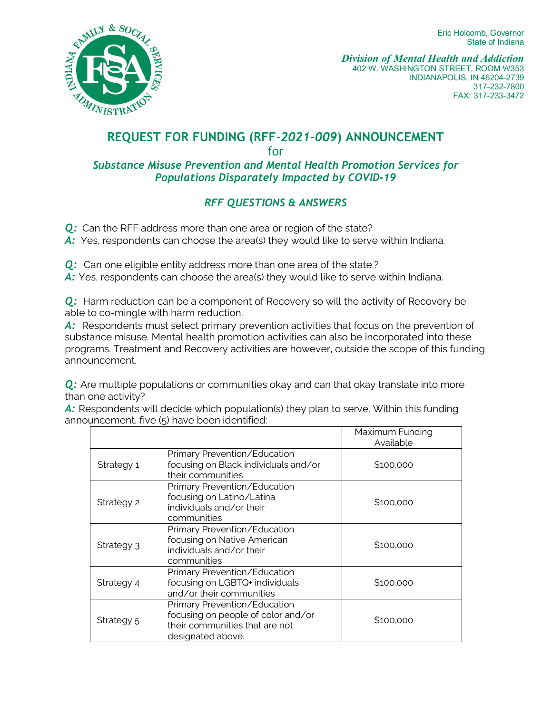Eric Holcomb, Governor State of Indiana



*Division of Mental Health and Addiction* 402 W. WASHINGTON STREET, ROOM W353 INDIANAPOLIS, IN 46204-2739 317-232-7800 FAX: 317-233-3472

## **REQUEST FOR FUNDING (RFF***-2021-009***) ANNOUNCEMENT** for

## *Substance Misuse Prevention and Mental Health Promotion Services for Populations Disparately Impacted by COVID-19*

## *RFF QUESTIONS & ANSWERS*

- *Q:* Can the RFF address more than one area or region of the state?
- A: Yes, respondents can choose the area(s) they would like to serve within Indiana.
- **Q:** Can one eligible entity address more than one area of the state.?
- A: Yes, respondents can choose the area(s) they would like to serve within Indiana.

**Q:** Harm reduction can be a component of Recovery so will the activity of Recovery be able to co-mingle with harm reduction.

A: Respondents must select primary prevention activities that focus on the prevention of substance misuse. Mental health promotion activities can also be incorporated into these programs. Treatment and Recovery activities are however, outside the scope of this funding announcement.

*Q:* Are multiple populations or communities okay and can that okay translate into more than one activity?

A: Respondents will decide which population(s) they plan to serve. Within this funding announcement, five (5) have been identified:

|            |                                                                                                                           | Maximum Funding<br>Available |
|------------|---------------------------------------------------------------------------------------------------------------------------|------------------------------|
| Strategy 1 | Primary Prevention/Education<br>focusing on Black individuals and/or<br>their communities                                 | \$100,000                    |
| Strategy 2 | Primary Prevention/Education<br>focusing on Latino/Latina<br>individuals and/or their<br>communities                      | \$100,000                    |
| Strategy 3 | Primary Prevention/Education<br>focusing on Native American<br>individuals and/or their<br>communities                    | \$100,000                    |
| Strategy 4 | Primary Prevention/Education<br>focusing on LGBTQ+ individuals<br>and/or their communities                                | \$100,000                    |
| Strategy 5 | Primary Prevention/Education<br>focusing on people of color and/or<br>their communities that are not<br>designated above. | \$100,000                    |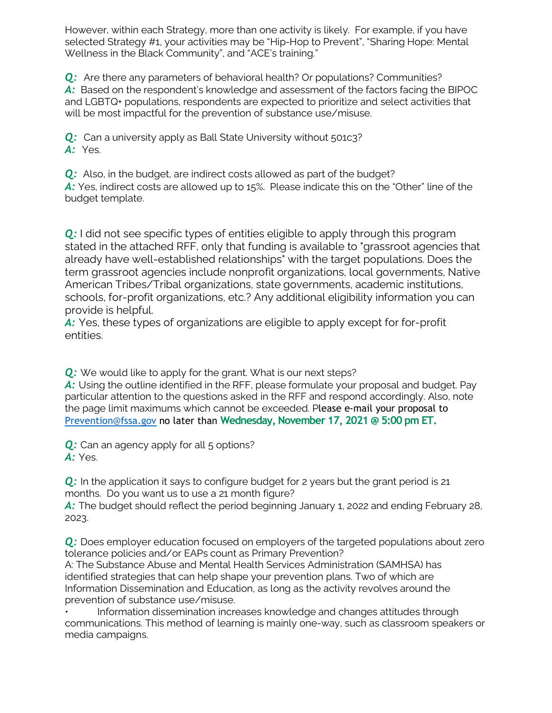However, within each Strategy, more than one activity is likely. For example, if you have selected Strategy #1, your activities may be "Hip-Hop to Prevent", "Sharing Hope: Mental Wellness in the Black Community", and "ACE's training."

**Q:** Are there any parameters of behavioral health? Or populations? Communities? *A:* Based on the respondent's knowledge and assessment of the factors facing the BIPOC and LGBTQ+ populations, respondents are expected to prioritize and select activities that will be most impactful for the prevention of substance use/misuse.

**Q:** Can a university apply as Ball State University without 501c3? *A:* Yes.

**Q:** Also, in the budget, are indirect costs allowed as part of the budget? A: Yes, indirect costs are allowed up to 15%. Please indicate this on the "Other" line of the budget template.

**Q:** I did not see specific types of entities eligible to apply through this program stated in the attached RFF, only that funding is available to "grassroot agencies that already have well-established relationships" with the target populations. Does the term grassroot agencies include nonprofit organizations, local governments, Native American Tribes/Tribal organizations, state governments, academic institutions, schools, for-profit organizations, etc.? Any additional eligibility information you can provide is helpful.

*A:* Yes, these types of organizations are eligible to apply except for for-profit entities.

**Q:** We would like to apply for the grant. What is our next steps?

A: Using the outline identified in the RFF, please formulate your proposal and budget. Pay particular attention to the questions asked in the RFF and respond accordingly. Also, note the page limit maximums which cannot be exceeded. Please e-mail your proposal to [Prevention@fssa.gov](mailto:Prevention@fssa.gov) no later than **Wednesday, November 17, 2021 @ 5:00 pm ET.**

**Q:** Can an agency apply for all 5 options? *A:* Yes.

**Q:** In the application it says to configure budget for 2 years but the grant period is 21 months. Do you want us to use a 21 month figure?

A: The budget should reflect the period beginning January 1, 2022 and ending February 28, 2023.

**Q:** Does employer education focused on employers of the targeted populations about zero tolerance policies and/or EAPs count as Primary Prevention?

A: The Substance Abuse and Mental Health Services Administration (SAMHSA) has identified strategies that can help shape your prevention plans. Two of which are Information Dissemination and Education, as long as the activity revolves around the prevention of substance use/misuse.

• Information dissemination increases knowledge and changes attitudes through communications. This method of learning is mainly one-way, such as classroom speakers or media campaigns.